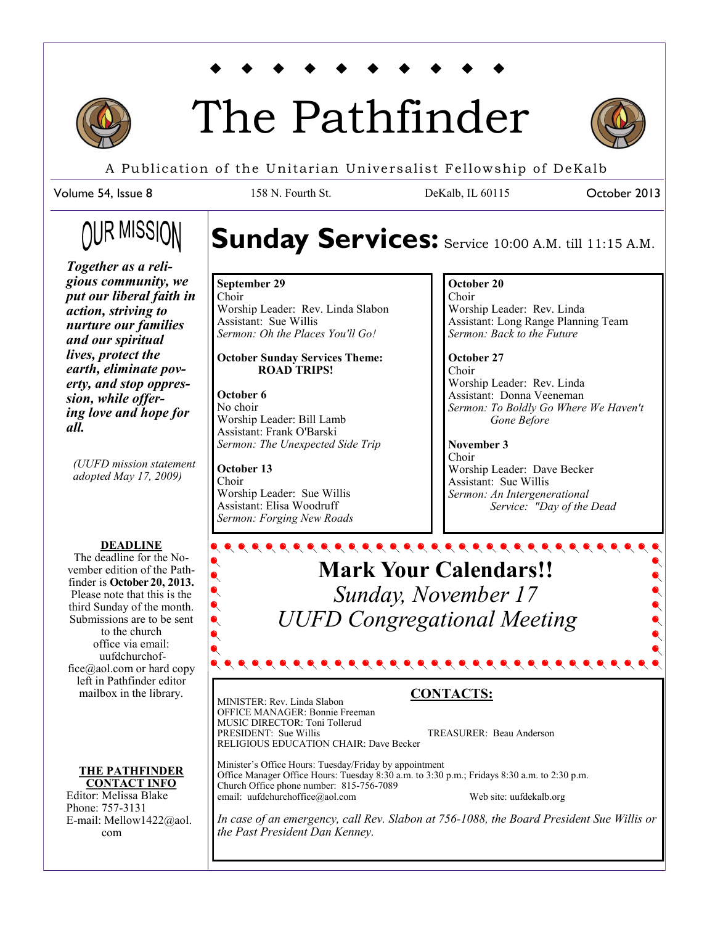

# The Pathfinder



October 2013

A Publication of the Unitarian Universalist Fellowship of DeKalb

158 N. Fourth St. DeKalb, IL 60115

Volume 54, Issue 8

## OUR MISSION

*Together as a religious community, we put our liberal faith in action, striving to nurture our families and our spiritual lives, protect the earth, eliminate poverty, and stop oppression, while offering love and hope for all.* 

*(UUFD mission statement adopted May 17, 2009)*

#### **DEADLINE**

The deadline for the November edition of the Pathfinder is **October 20, 2013.**  Please note that this is the third Sunday of the month. Submissions are to be sent to the church office via email: uufdchurchoffice@aol.com or hard copy left in Pathfinder editor mailbox in the library.

#### **THE PATHFINDER CONTACT INFO**

Editor: Melissa Blake Phone: 757-3131 E-mail: Mellow1422@aol. com

## Sunday Services: Service 10:00 A.M. till 11:15 A.M.

**September 29** Choir Worship Leader: Rev. Linda Slabon Assistant: Sue Willis *Sermon: Oh the Places You'll Go!*

#### **October Sunday Services Theme: ROAD TRIPS!**

**October 6** No choir Worship Leader: Bill Lamb Assistant: Frank O'Barski *Sermon: The Unexpected Side Trip*

**October 13** Choir Worship Leader: Sue Willis Assistant: Elisa Woodruff *Sermon: Forging New Roads*

#### **October 20**

Choir Worship Leader: Rev. Linda Assistant: Long Range Planning Team *Sermon: Back to the Future*

**October 27** Choir Worship Leader: Rev. Linda Assistant: Donna Veeneman *Sermon: To Boldly Go Where We Haven't Gone Before*

**November 3** Choir Worship Leader: Dave Becker Assistant: Sue Willis *Sermon: An Intergenerational Service: "Day of the Dead*

**Mark Your Calendars!!** *Sunday, November 17 UUFD Congregational Meeting* 

MINISTER: Rev. Linda Slabon OFFICE MANAGER: Bonnie Freeman MUSIC DIRECTOR: Toni Tollerud<br>PRESIDENT: Sue Willis RELIGIOUS EDUCATION CHAIR: Dave Becker

### **CONTACTS:**

TREASURER: Beau Anderson

Minister's Office Hours: Tuesday/Friday by appointment Office Manager Office Hours: Tuesday 8:30 a.m. to 3:30 p.m.; Fridays 8:30 a.m. to 2:30 p.m. Church Office phone number: 815-756-7089 email: uufdchurchoffice@aol.com Web site: uufdekalb.org

*In case of an emergency, call Rev. Slabon at 756-1088, the Board President Sue Willis or the Past President Dan Kenney.*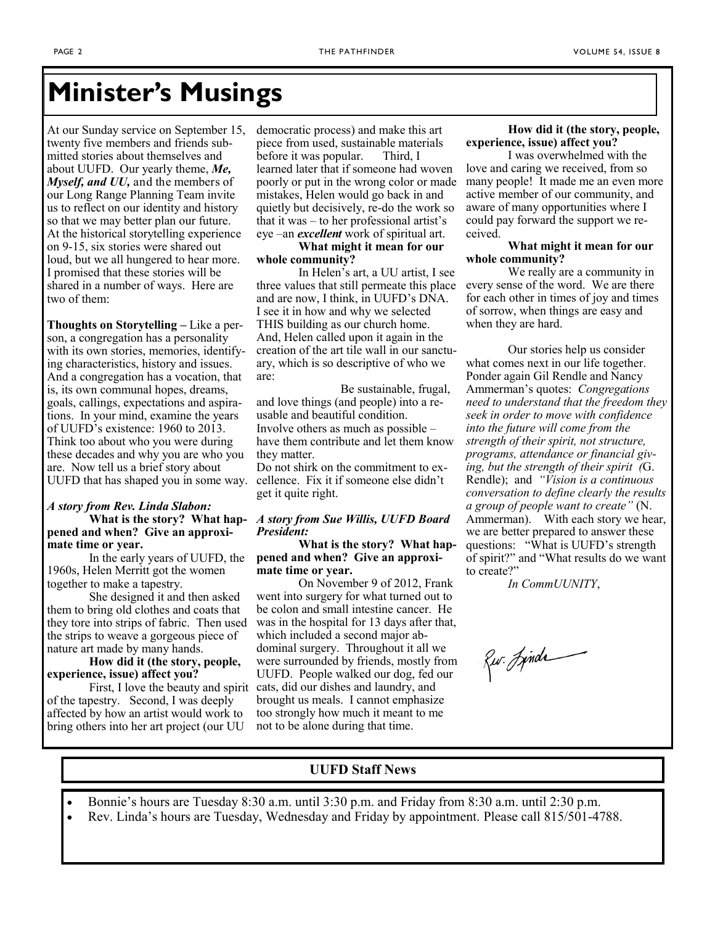## **Minister's Musings**

At our Sunday service on September 15, twenty five members and friends submitted stories about themselves and about UUFD. Our yearly theme, *Me, Myself, and UU,* and the members of our Long Range Planning Team invite us to reflect on our identity and history so that we may better plan our future. At the historical storytelling experience on 9-15, six stories were shared out loud, but we all hungered to hear more. I promised that these stories will be shared in a number of ways. Here are two of them:

**Thoughts on Storytelling –** Like a person, a congregation has a personality with its own stories, memories, identifying characteristics, history and issues. And a congregation has a vocation, that is, its own communal hopes, dreams, goals, callings, expectations and aspirations. In your mind, examine the years of UUFD's existence: 1960 to 2013. Think too about who you were during these decades and why you are who you are. Now tell us a brief story about UUFD that has shaped you in some way.

#### *A story from Rev. Linda Slabon:*  **What is the story? What happened and when? Give an approximate time or year.**

In the early years of UUFD, the 1960s, Helen Merritt got the women together to make a tapestry.

She designed it and then asked them to bring old clothes and coats that they tore into strips of fabric. Then used the strips to weave a gorgeous piece of nature art made by many hands.

#### **How did it (the story, people, experience, issue) affect you?**

First, I love the beauty and spirit of the tapestry. Second, I was deeply affected by how an artist would work to bring others into her art project (our UU

democratic process) and make this art piece from used, sustainable materials before it was popular. Third, I learned later that if someone had woven poorly or put in the wrong color or made mistakes, Helen would go back in and quietly but decisively, re-do the work so that it was – to her professional artist's eye –an *excellent* work of spiritual art.

#### **What might it mean for our whole community?**

In Helen's art, a UU artist, I see three values that still permeate this place and are now, I think, in UUFD's DNA. I see it in how and why we selected THIS building as our church home. And, Helen called upon it again in the creation of the art tile wall in our sanctuary, which is so descriptive of who we are:

 Be sustainable, frugal, and love things (and people) into a reusable and beautiful condition. Involve others as much as possible – have them contribute and let them know they matter.

Do not shirk on the commitment to excellence. Fix it if someone else didn't get it quite right.

#### *A story from Sue Willis, UUFD Board President:*

**What is the story? What happened and when? Give an approximate time or year.** 

On November 9 of 2012, Frank went into surgery for what turned out to be colon and small intestine cancer. He was in the hospital for 13 days after that, which included a second major abdominal surgery. Throughout it all we were surrounded by friends, mostly from UUFD. People walked our dog, fed our cats, did our dishes and laundry, and brought us meals. I cannot emphasize too strongly how much it meant to me not to be alone during that time.

#### **How did it (the story, people, experience, issue) affect you?**

I was overwhelmed with the love and caring we received, from so many people! It made me an even more active member of our community, and aware of many opportunities where I could pay forward the support we received.

#### **What might it mean for our whole community?**

We really are a community in every sense of the word. We are there for each other in times of joy and times of sorrow, when things are easy and when they are hard.

Our stories help us consider what comes next in our life together. Ponder again Gil Rendle and Nancy Ammerman's quotes: *Congregations need to understand that the freedom they seek in order to move with confidence into the future will come from the strength of their spirit, not structure, programs, attendance or financial giving, but the strength of their spirit (*G. Rendle); and *"Vision is a continuous conversation to define clearly the results a group of people want to create"* (N. Ammerman). With each story we hear, we are better prepared to answer these questions: "What is UUFD's strength of spirit?" and "What results do we want to create?"

*In CommUUNITY*,

Rw. Jinds

#### **UUFD Staff News**

- Bonnie's hours are Tuesday 8:30 a.m. until 3:30 p.m. and Friday from 8:30 a.m. until 2:30 p.m.
- Rev. Linda's hours are Tuesday, Wednesday and Friday by appointment. Please call 815/501-4788.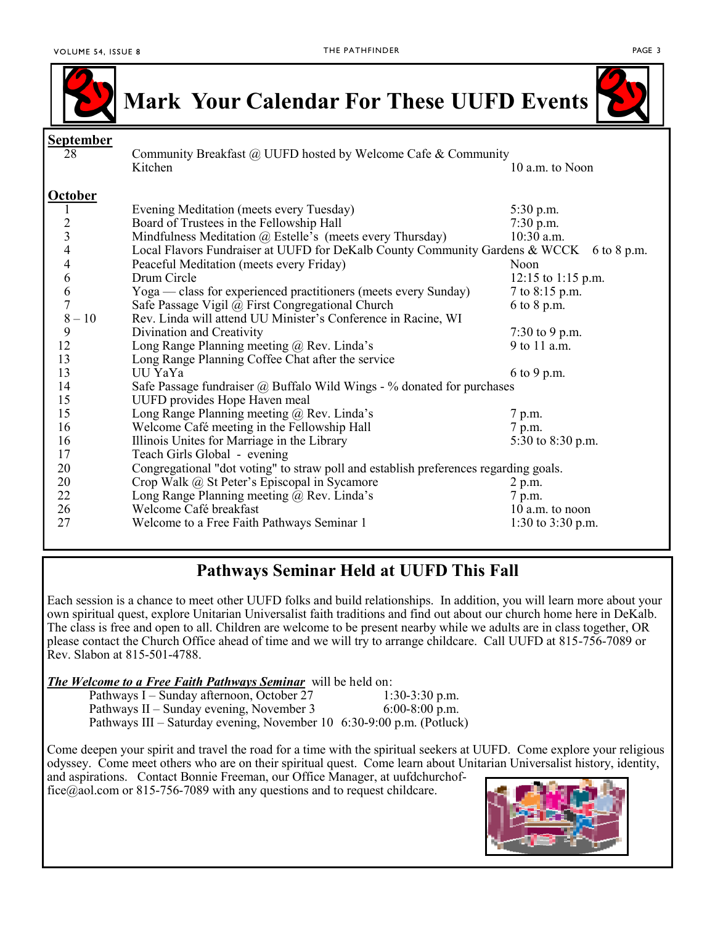

**Mark Your Calendar For These UUFD Events**



| <b>September</b>                                |                                                                                         |                      |  |
|-------------------------------------------------|-----------------------------------------------------------------------------------------|----------------------|--|
| 28                                              | Community Breakfast @ UUFD hosted by Welcome Cafe & Community                           |                      |  |
|                                                 | Kitchen                                                                                 | 10 a.m. to Noon      |  |
| <b>October</b>                                  |                                                                                         |                      |  |
| 1                                               | Evening Meditation (meets every Tuesday)                                                | 5:30 p.m.            |  |
|                                                 | Board of Trustees in the Fellowship Hall                                                | $7:30$ p.m.          |  |
| $\begin{array}{c} 2 \\ 3 \\ 4 \\ 4 \end{array}$ | Mindfulness Meditation @ Estelle's (meets every Thursday)                               | 10:30 a.m.           |  |
|                                                 | Local Flavors Fundraiser at UUFD for DeKalb County Community Gardens & WCCK 6 to 8 p.m. |                      |  |
|                                                 | Peaceful Meditation (meets every Friday)                                                | Noon                 |  |
| 6                                               | Drum Circle                                                                             | $12:15$ to 1:15 p.m. |  |
| $\frac{6}{7}$                                   | Yoga — class for experienced practitioners (meets every Sunday)                         | 7 to 8:15 p.m.       |  |
|                                                 | Safe Passage Vigil @ First Congregational Church                                        | 6 to 8 p.m.          |  |
| $8-10$                                          | Rev. Linda will attend UU Minister's Conference in Racine, WI                           |                      |  |
| 9                                               | Divination and Creativity                                                               | 7:30 to 9 p.m.       |  |
| 12                                              | Long Range Planning meeting @ Rev. Linda's                                              | 9 to 11 a.m.         |  |
| 13                                              | Long Range Planning Coffee Chat after the service                                       |                      |  |
| 13                                              | UU YaYa                                                                                 | 6 to 9 p.m.          |  |
| 14                                              | Safe Passage fundraiser $\omega$ Buffalo Wild Wings - % donated for purchases           |                      |  |
| 15                                              | UUFD provides Hope Haven meal                                                           |                      |  |
| 15                                              | Long Range Planning meeting @ Rev. Linda's                                              | 7 p.m.               |  |
| 16                                              | Welcome Café meeting in the Fellowship Hall                                             | 7 p.m.               |  |
| 16                                              | Illinois Unites for Marriage in the Library                                             | 5:30 to 8:30 p.m.    |  |
| 17                                              | Teach Girls Global - evening                                                            |                      |  |
| 20                                              | Congregational "dot voting" to straw poll and establish preferences regarding goals.    |                      |  |
| 20                                              | Crop Walk @ St Peter's Episcopal in Sycamore                                            | 2 p.m.               |  |
| 22                                              | Long Range Planning meeting @ Rev. Linda's                                              | 7 p.m.               |  |
| 26                                              | Welcome Café breakfast                                                                  | 10 a.m. to noon      |  |
| 27                                              | Welcome to a Free Faith Pathways Seminar 1                                              | 1:30 to $3:30$ p.m.  |  |

### **Pathways Seminar Held at UUFD This Fall**

Each session is a chance to meet other UUFD folks and build relationships. In addition, you will learn more about your own spiritual quest, explore Unitarian Universalist faith traditions and find out about our church home here in DeKalb. The class is free and open to all. Children are welcome to be present nearby while we adults are in class together, OR please contact the Church Office ahead of time and we will try to arrange childcare. Call UUFD at 815-756-7089 or Rev. Slabon at 815-501-4788.

*The Welcome to a Free Faith Pathways Seminar* will be held on:

| Pathways I – Sunday afternoon, October 27                             | $1:30-3:30$ p.m. |
|-----------------------------------------------------------------------|------------------|
| Pathways II – Sunday evening, November 3                              | $6:00-8:00$ p.m. |
| Pathways III – Saturday evening, November 10 6:30-9:00 p.m. (Potluck) |                  |

Come deepen your spirit and travel the road for a time with the spiritual seekers at UUFD. Come explore your religious odyssey. Come meet others who are on their spiritual quest. Come learn about Unitarian Universalist history, identity, and aspirations. Contact Bonnie Freeman, our Office Manager, at [uufdchurchof-](mailto:uufdchurchoffice@aol.com)

[fice@aol.com](mailto:uufdchurchoffice@aol.com) or 815-756-7089 with any questions and to request childcare.

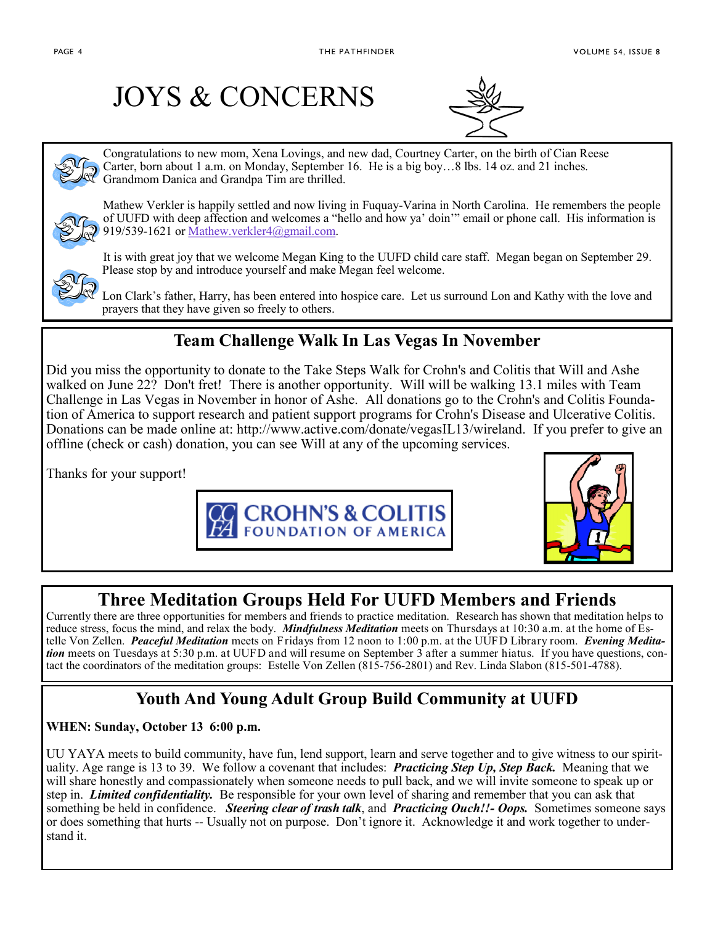## JOYS & CONCERNS



Congratulations to new mom, Xena Lovings, and new dad, Courtney Carter, on the birth of Cian Reese Carter, born about 1 a.m. on Monday, September 16. He is a big boy…8 lbs. 14 oz. and 21 inches. Grandmom Danica and Grandpa Tim are thrilled.

Mathew Verkler is happily settled and now living in Fuquay-Varina in North Carolina. He remembers the people of UUFD with deep affection and welcomes a "hello and how ya' doin'" email or phone call. His information is 919/539-1621 or [Mathew.verkler4@gmail.com.](mailto:Mathew.verkler4@gmail.com)



It is with great joy that we welcome Megan King to the UUFD child care staff. Megan began on September 29. Please stop by and introduce yourself and make Megan feel welcome.

Lon Clark's father, Harry, has been entered into hospice care. Let us surround Lon and Kathy with the love and prayers that they have given so freely to others.

## **Team Challenge Walk In Las Vegas In November**

Did you miss the opportunity to donate to the Take Steps Walk for Crohn's and Colitis that Will and Ashe walked on June 22? Don't fret! There is another opportunity. Will will be walking 13.1 miles with Team Challenge in Las Vegas in November in honor of Ashe. All donations go to the Crohn's and Colitis Foundation of America to support research and patient support programs for Crohn's Disease and Ulcerative Colitis. Donations can be made online at: http://www.active.com/donate/vegasIL13/wireland. If you prefer to give an offline (check or cash) donation, you can see Will at any of the upcoming services.

Thanks for your support!





## **Three Meditation Groups Held For UUFD Members and Friends**

Currently there are three opportunities for members and friends to practice meditation. Research has shown that meditation helps to reduce stress, focus the mind, and relax the body. *Mindfulness Meditation* meets on Thursdays at 10:30 a.m. at the home of Estelle Von Zellen. *Peaceful Meditation* meets on Fridays from 12 noon to 1:00 p.m. at the UUFD Library room. *Evening Meditation* meets on Tuesdays at 5:30 p.m. at UUFD and will resume on September 3 after a summer hiatus. If you have questions, contact the coordinators of the meditation groups: Estelle Von Zellen (815-756-2801) and Rev. Linda Slabon (815-501-4788).

## **Youth And Young Adult Group Build Community at UUFD**

#### **WHEN: Sunday, October 13 6:00 p.m.**

UU YAYA meets to build community, have fun, lend support, learn and serve together and to give witness to our spirituality. Age range is 13 to 39. We follow a covenant that includes: *Practicing Step Up, Step Back.* Meaning that we will share honestly and compassionately when someone needs to pull back, and we will invite someone to speak up or step in. *Limited confidentiality.* Be responsible for your own level of sharing and remember that you can ask that something be held in confidence. *Steering clear of trash talk*, and *Practicing Ouch!!- Oops.* Sometimes someone says or does something that hurts -- Usually not on purpose. Don't ignore it. Acknowledge it and work together to understand it.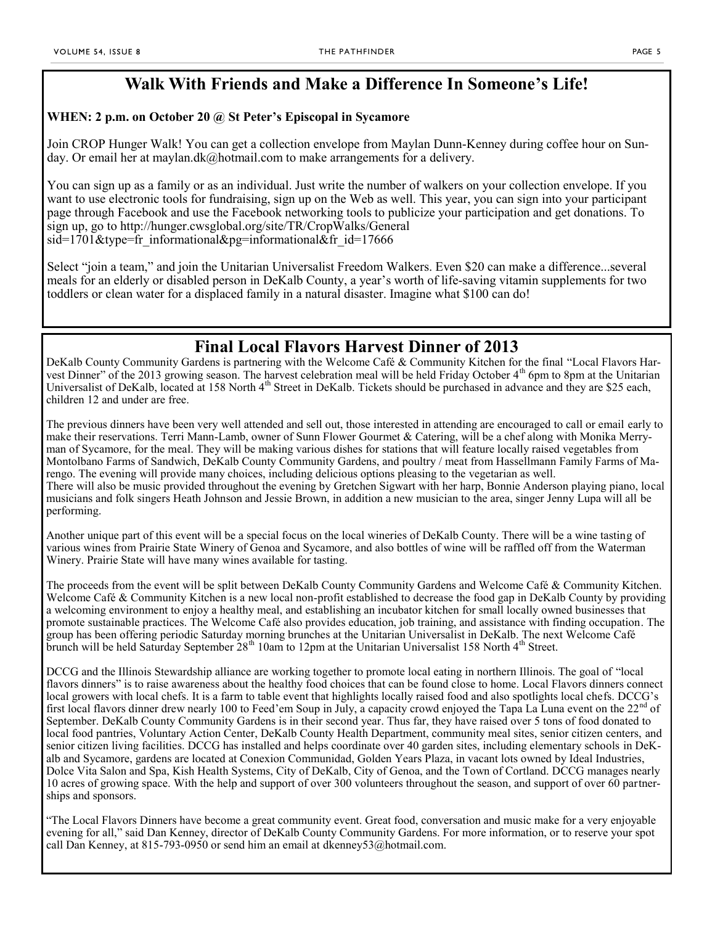### **Walk With Friends and Make a Difference In Someone's Life!**

#### **WHEN: 2 p.m. on October 20 @ St Peter's Episcopal in Sycamore**

Join CROP Hunger Walk! You can get a collection envelope from Maylan Dunn-Kenney during coffee hour on Sunday. Or email her at [maylan.dk@hotmail.com t](mailto:maylan.dk@hotmail.com)o make arrangements for a delivery.

You can sign up as a family or as an individual. Just write the number of walkers on your collection envelope. If you want to use electronic tools for fundraising, sign up on the Web as well. This year, you can sign into your participant page through Facebook and use the Facebook networking tools to publicize your participation and get donations. To sign up, go to [http://hunger.cwsglobal.org/site/TR/CropWalks/General](http://hunger.cwsglobal.org/site/TR/CropWalks/General?sid=1701&type=fr_informational&pg=informational&fr_id=17666)   $sid=1701\&$ type=fr\_informational $&$ pg=informational $&$ fr\_id=17666

Select "join a team," and join the Unitarian Universalist Freedom Walkers. Even \$20 can make a difference...several meals for an elderly or disabled person in DeKalb County, a year's worth of life-saving vitamin supplements for two toddlers or clean water for a displaced family in a natural disaster. Imagine what \$100 can do!

### **Final Local Flavors Harvest Dinner of 2013**

DeKalb County Community Gardens is partnering with the Welcome Café & Community Kitchen for the final "Local Flavors Harvest Dinner" of the 2013 growing season. The harvest celebration meal will be held Friday October 4<sup>th</sup> 6pm to 8pm at the Unitarian Universalist of DeKalb, located at 158 North 4<sup>th</sup> Street in DeKalb. Tickets should be purchased in advance and they are \$25 each, children 12 and under are free.

The previous dinners have been very well attended and sell out, those interested in attending are encouraged to call or email early to make their reservations. Terri Mann-Lamb, owner of Sunn Flower Gourmet & Catering, will be a chef along with Monika Merryman of Sycamore, for the meal. They will be making various dishes for stations that will feature locally raised vegetables from Montolbano Farms of Sandwich, DeKalb County Community Gardens, and poultry / meat from Hassellmann Family Farms of Marengo. The evening will provide many choices, including delicious options pleasing to the vegetarian as well. There will also be music provided throughout the evening by Gretchen Sigwart with her harp, Bonnie Anderson playing piano, local musicians and folk singers Heath Johnson and Jessie Brown, in addition a new musician to the area, singer Jenny Lupa will all be performing.

Another unique part of this event will be a special focus on the local wineries of DeKalb County. There will be a wine tasting of various wines from Prairie State Winery of Genoa and Sycamore, and also bottles of wine will be raffled off from the Waterman Winery. Prairie State will have many wines available for tasting.

The proceeds from the event will be split between DeKalb County Community Gardens and Welcome Café & Community Kitchen. Welcome Café & Community Kitchen is a new local non-profit established to decrease the food gap in DeKalb County by providing a welcoming environment to enjoy a healthy meal, and establishing an incubator kitchen for small locally owned businesses that promote sustainable practices. The Welcome Café also provides education, job training, and assistance with finding occupation. The group has been offering periodic Saturday morning brunches at the Unitarian Universalist in DeKalb. The next Welcome Café brunch will be held Saturday September 28<sup>th</sup> 10am to 12pm at the Unitarian Universalist 158 North 4<sup>th</sup> Street.

DCCG and the Illinois Stewardship alliance are working together to promote local eating in northern Illinois. The goal of "local flavors dinners" is to raise awareness about the healthy food choices that can be found close to home. Local Flavors dinners connect local growers with local chefs. It is a farm to table event that highlights locally raised food and also spotlights local chefs. DCCG's first local flavors dinner drew nearly 100 to Feed'em Soup in July, a capacity crowd enjoyed the Tapa La Luna event on the 22<sup>nd</sup> of September. DeKalb County Community Gardens is in their second year. Thus far, they have raised over 5 tons of food donated to local food pantries, Voluntary Action Center, DeKalb County Health Department, community meal sites, senior citizen centers, and senior citizen living facilities. DCCG has installed and helps coordinate over 40 garden sites, including elementary schools in DeKalb and Sycamore, gardens are located at Conexion Communidad, Golden Years Plaza, in vacant lots owned by Ideal Industries, Dolce Vita Salon and Spa, Kish Health Systems, City of DeKalb, City of Genoa, and the Town of Cortland. DCCG manages nearly 10 acres of growing space. With the help and support of over 300 volunteers throughout the season, and support of over 60 partnerships and sponsors.

"The Local Flavors Dinners have become a great community event. Great food, conversation and music make for a very enjoyable evening for all," said Dan Kenney, director of DeKalb County Community Gardens. For more information, or to reserve your spot call Dan Kenney, at 815-793-0950 or send him an email at dkenney53@hotmail.com.